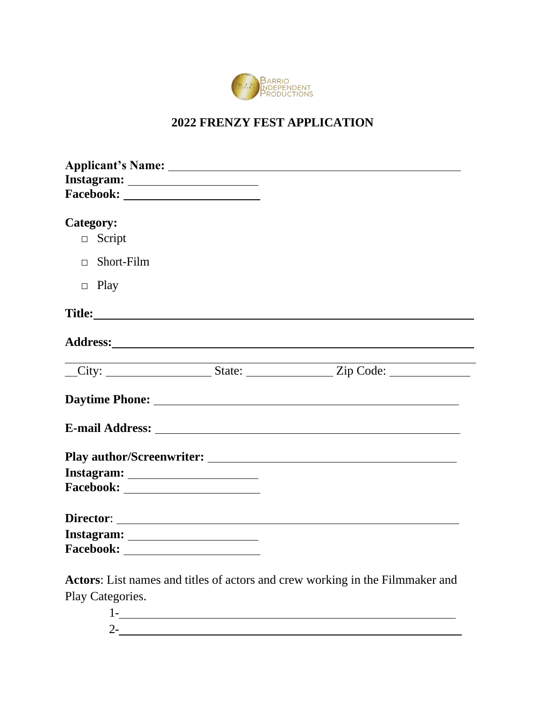

# **2022 FRENZY FEST APPLICATION**

| Category:              |  |
|------------------------|--|
| Script<br>$\Box$       |  |
| $\Box$ Short-Film      |  |
| $\Box$ Play            |  |
|                        |  |
|                        |  |
| City: State: Zip Code: |  |
|                        |  |
|                        |  |
|                        |  |
|                        |  |
|                        |  |
|                        |  |
|                        |  |
|                        |  |

**Actors**: List names and titles of actors and crew working in the Filmmaker and Play Categories.

> 1- 2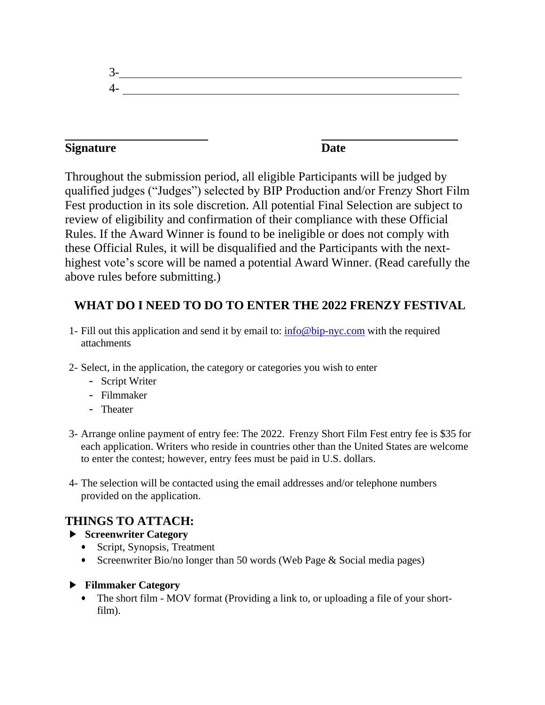3- 4-

### **Signature Date**

Throughout the submission period, all eligible Participants will be judged by qualified judges ("Judges") selected by BIP Production and/or Frenzy Short Film Fest production in its sole discretion. All potential Final Selection are subject to review of eligibility and confirmation of their compliance with these Official Rules. If the Award Winner is found to be ineligible or does not comply with these Official Rules, it will be disqualified and the Participants with the nexthighest vote's score will be named a potential Award Winner. (Read carefully the above rules before submitting.)

# **WHAT DO I NEED TO DO TO ENTER THE 2022 FRENZY FESTIVAL**

- 1- Fill out this application and send it by email to: [info@bip-nyc.com](mailto:info@bip-nyc.com) with the required attachments
- 2- Select, in the application, the category or categories you wish to enter
	- Script Writer
	- Filmmaker
	- Theater
- 3- Arrange online payment of entry fee: The 2022. Frenzy Short Film Fest entry fee is \$35 for each application. Writers who reside in countries other than the United States are welcome to enter the contest; however, entry fees must be paid in U.S. dollars.
- 4- The selection will be contacted using the email addresses and/or telephone numbers provided on the application.

## **THINGS TO ATTACH:**

- ► **Screenwriter Category**
	- Script, Synopsis, Treatment
	- Screenwriter Bio/no longer than 50 words (Web Page & Social media pages)

#### ► **Filmmaker Category**

• The short film - MOV format (Providing a link to, or uploading a file of your shortfilm).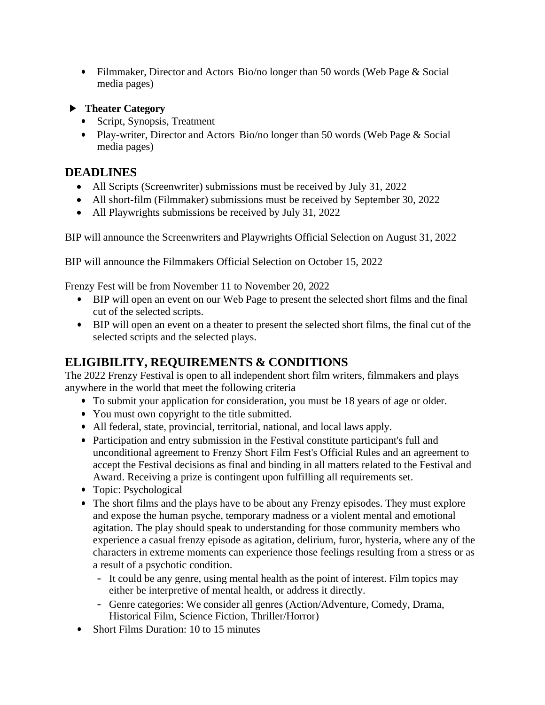- Filmmaker, Director and Actors Bio/no longer than 50 words (Web Page & Social media pages)
- ► **Theater Category**
	- Script, Synopsis, Treatment
	- Play-writer, Director and Actors Bio/no longer than 50 words (Web Page & Social media pages)

### **DEADLINES**

- All Scripts (Screenwriter) submissions must be received by July 31, 2022
- All short-film (Filmmaker) submissions must be received by September 30, 2022
- All Playwrights submissions be received by July 31, 2022

BIP will announce the Screenwriters and Playwrights Official Selection on August 31, 2022

BIP will announce the Filmmakers Official Selection on October 15, 2022

Frenzy Fest will be from November 11 to November 20, 2022

- BIP will open an event on our Web Page to present the selected short films and the final cut of the selected scripts.
- BIP will open an event on a theater to present the selected short films, the final cut of the selected scripts and the selected plays.

## **ELIGIBILITY, REQUIREMENTS & CONDITIONS**

The 2022 Frenzy Festival is open to all independent short film writers, filmmakers and plays anywhere in the world that meet the following criteria

- To submit your application for consideration, you must be 18 years of age or older.
- You must own copyright to the title submitted.
- All federal, state, provincial, territorial, national, and local laws apply.
- Participation and entry submission in the Festival constitute participant's full and unconditional agreement to Frenzy Short Film Fest's Official Rules and an agreement to accept the Festival decisions as final and binding in all matters related to the Festival and Award. Receiving a prize is contingent upon fulfilling all requirements set.
- Topic: Psychological
- The short films and the plays have to be about any Frenzy episodes. They must explore and expose the human psyche, temporary madness or a violent mental and emotional agitation. The play should speak to understanding for those community members who experience a casual frenzy episode as agitation, delirium, furor, hysteria, where any of the characters in extreme moments can experience those feelings resulting from a stress or as a result of a psychotic condition.
	- It could be any genre, using mental health as the point of interest. Film topics may either be interpretive of mental health, or address it directly.
	- Genre categories: We consider all genres (Action/Adventure, Comedy, Drama, Historical Film, Science Fiction, Thriller/Horror)
- Short Films Duration: 10 to 15 minutes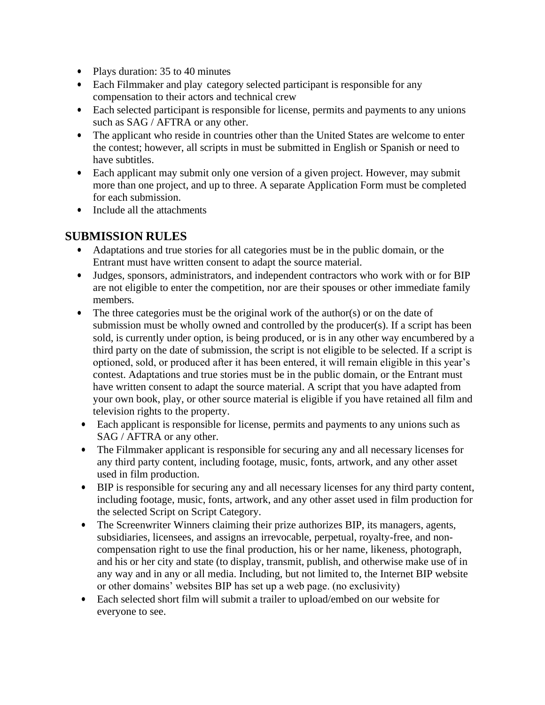- Plays duration: 35 to 40 minutes
- Each Filmmaker and play category selected participant is responsible for any compensation to their actors and technical crew
- Each selected participant is responsible for license, permits and payments to any unions such as SAG / AFTRA or any other.
- The applicant who reside in countries other than the United States are welcome to enter the contest; however, all scripts in must be submitted in English or Spanish or need to have subtitles.
- Each applicant may submit only one version of a given project. However, may submit more than one project, and up to three. A separate Application Form must be completed for each submission.
- Include all the attachments

### **SUBMISSION RULES**

- Adaptations and true stories for all categories must be in the public domain, or the Entrant must have written consent to adapt the source material.
- Judges, sponsors, administrators, and independent contractors who work with or for BIP are not eligible to enter the competition, nor are their spouses or other immediate family members.
- The three categories must be the original work of the author(s) or on the date of submission must be wholly owned and controlled by the producer(s). If a script has been sold, is currently under option, is being produced, or is in any other way encumbered by a third party on the date of submission, the script is not eligible to be selected. If a script is optioned, sold, or produced after it has been entered, it will remain eligible in this year's contest. Adaptations and true stories must be in the public domain, or the Entrant must have written consent to adapt the source material. A script that you have adapted from your own book, play, or other source material is eligible if you have retained all film and television rights to the property.
- Each applicant is responsible for license, permits and payments to any unions such as SAG / AFTRA or any other.
- The Filmmaker applicant is responsible for securing any and all necessary licenses for any third party content, including footage, music, fonts, artwork, and any other asset used in film production.
- BIP is responsible for securing any and all necessary licenses for any third party content, including footage, music, fonts, artwork, and any other asset used in film production for the selected Script on Script Category.
- The Screenwriter Winners claiming their prize authorizes BIP, its managers, agents, subsidiaries, licensees, and assigns an irrevocable, perpetual, royalty-free, and noncompensation right to use the final production, his or her name, likeness, photograph, and his or her city and state (to display, transmit, publish, and otherwise make use of in any way and in any or all media. Including, but not limited to, the Internet BIP website or other domains' websites BIP has set up a web page. (no exclusivity)
- Each selected short film will submit a trailer to upload/embed on our website for everyone to see.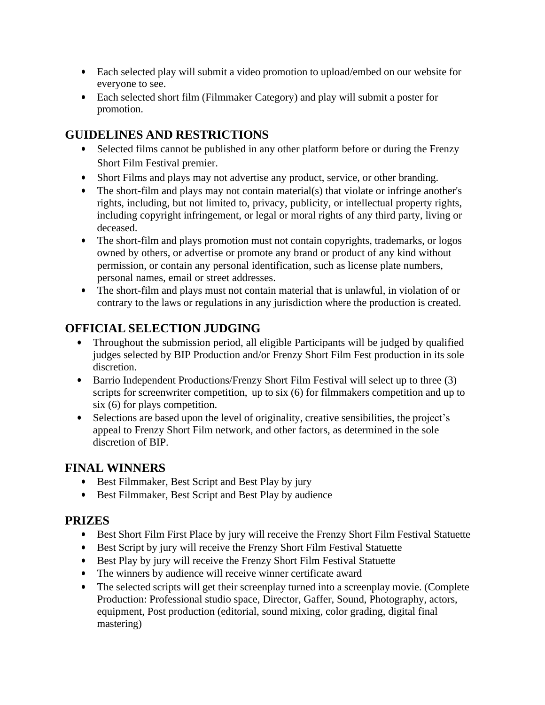- Each selected play will submit a video promotion to upload/embed on our website for everyone to see.
- Each selected short film (Filmmaker Category) and play will submit a poster for promotion.

## **GUIDELINES AND RESTRICTIONS**

- Selected films cannot be published in any other platform before or during the Frenzy Short Film Festival premier.
- Short Films and plays may not advertise any product, service, or other branding.
- The short-film and plays may not contain material(s) that violate or infringe another's rights, including, but not limited to, privacy, publicity, or intellectual property rights, including copyright infringement, or legal or moral rights of any third party, living or deceased.
- The short-film and plays promotion must not contain copyrights, trademarks, or logos owned by others, or advertise or promote any brand or product of any kind without permission, or contain any personal identification, such as license plate numbers, personal names, email or street addresses.
- The short-film and plays must not contain material that is unlawful, in violation of or contrary to the laws or regulations in any jurisdiction where the production is created.

# **OFFICIAL SELECTION JUDGING**

- Throughout the submission period, all eligible Participants will be judged by qualified judges selected by BIP Production and/or Frenzy Short Film Fest production in its sole discretion.
- Barrio Independent Productions/Frenzy Short Film Festival will select up to three (3) scripts for screenwriter competition, up to six (6) for filmmakers competition and up to six (6) for plays competition.
- Selections are based upon the level of originality, creative sensibilities, the project's appeal to Frenzy Short Film network, and other factors, as determined in the sole discretion of BIP.

### **FINAL WINNERS**

- Best Filmmaker, Best Script and Best Play by jury
- Best Filmmaker, Best Script and Best Play by audience

### **PRIZES**

- Best Short Film First Place by jury will receive the Frenzy Short Film Festival Statuette
- Best Script by jury will receive the Frenzy Short Film Festival Statuette
- Best Play by jury will receive the Frenzy Short Film Festival Statuette
- The winners by audience will receive winner certificate award
- The selected scripts will get their screenplay turned into a screenplay movie. (Complete Production: Professional studio space, Director, Gaffer, Sound, Photography, actors, equipment, Post production (editorial, sound mixing, color grading, digital final mastering)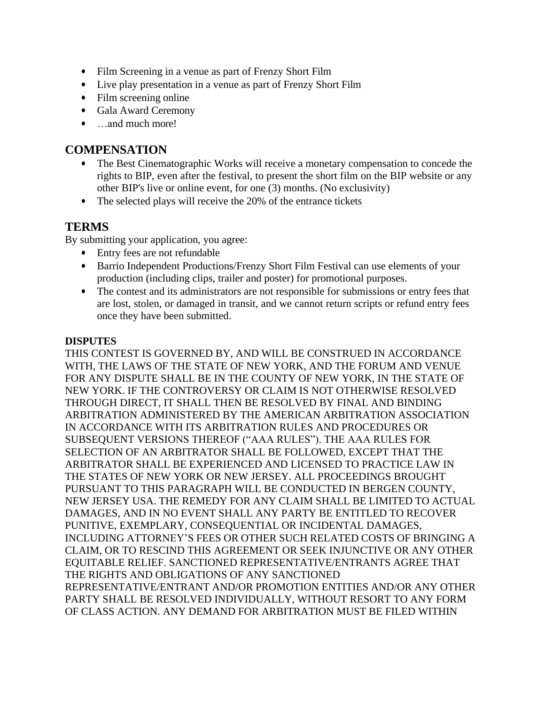- Film Screening in a venue as part of Frenzy Short Film
- Live play presentation in a venue as part of Frenzy Short Film
- Film screening online
- Gala Award Ceremony
- …and much more!

#### **COMPENSATION**

- The Best Cinematographic Works will receive a monetary compensation to concede the rights to BIP, even after the festival, to present the short film on the BIP website or any other BIP's live or online event, for one (3) months. (No exclusivity)
- The selected plays will receive the 20% of the entrance tickets

### **TERMS**

By submitting your application, you agree:

- Entry fees are not refundable
- Barrio Independent Productions/Frenzy Short Film Festival can use elements of your production (including clips, trailer and poster) for promotional purposes.
- The contest and its administrators are not responsible for submissions or entry fees that are lost, stolen, or damaged in transit, and we cannot return scripts or refund entry fees once they have been submitted.

#### **DISPUTES**

THIS CONTEST IS GOVERNED BY, AND WILL BE CONSTRUED IN ACCORDANCE WITH, THE LAWS OF THE STATE OF NEW YORK, AND THE FORUM AND VENUE FOR ANY DISPUTE SHALL BE IN THE COUNTY OF NEW YORK, IN THE STATE OF NEW YORK. IF THE CONTROVERSY OR CLAIM IS NOT OTHERWISE RESOLVED THROUGH DIRECT, IT SHALL THEN BE RESOLVED BY FINAL AND BINDING ARBITRATION ADMINISTERED BY THE AMERICAN ARBITRATION ASSOCIATION IN ACCORDANCE WITH ITS ARBITRATION RULES AND PROCEDURES OR SUBSEQUENT VERSIONS THEREOF ("AAA RULES"). THE AAA RULES FOR SELECTION OF AN ARBITRATOR SHALL BE FOLLOWED, EXCEPT THAT THE ARBITRATOR SHALL BE EXPERIENCED AND LICENSED TO PRACTICE LAW IN THE STATES OF NEW YORK OR NEW JERSEY. ALL PROCEEDINGS BROUGHT PURSUANT TO THIS PARAGRAPH WILL BE CONDUCTED IN BERGEN COUNTY, NEW JERSEY USA. THE REMEDY FOR ANY CLAIM SHALL BE LIMITED TO ACTUAL DAMAGES, AND IN NO EVENT SHALL ANY PARTY BE ENTITLED TO RECOVER PUNITIVE, EXEMPLARY, CONSEQUENTIAL OR INCIDENTAL DAMAGES, INCLUDING ATTORNEY'S FEES OR OTHER SUCH RELATED COSTS OF BRINGING A CLAIM, OR TO RESCIND THIS AGREEMENT OR SEEK INJUNCTIVE OR ANY OTHER EQUITABLE RELIEF. SANCTIONED REPRESENTATIVE/ENTRANTS AGREE THAT THE RIGHTS AND OBLIGATIONS OF ANY SANCTIONED REPRESENTATIVE/ENTRANT AND/OR PROMOTION ENTITIES AND/OR ANY OTHER PARTY SHALL BE RESOLVED INDIVIDUALLY, WITHOUT RESORT TO ANY FORM OF CLASS ACTION. ANY DEMAND FOR ARBITRATION MUST BE FILED WITHIN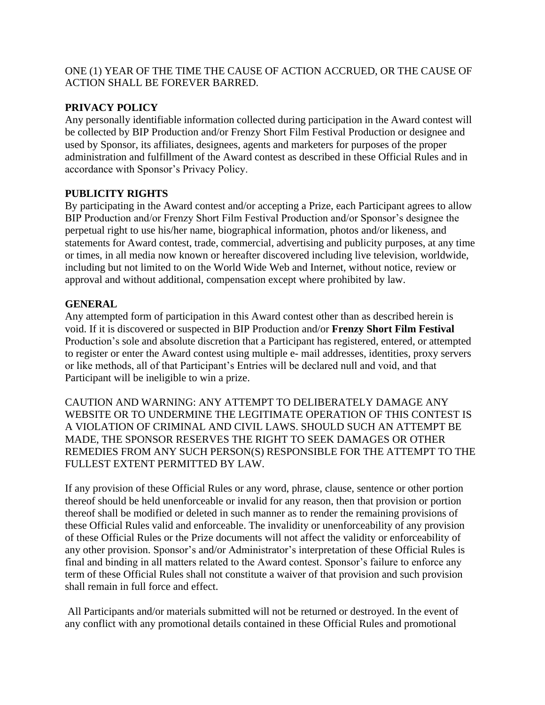#### ONE (1) YEAR OF THE TIME THE CAUSE OF ACTION ACCRUED, OR THE CAUSE OF ACTION SHALL BE FOREVER BARRED.

#### **PRIVACY POLICY**

Any personally identifiable information collected during participation in the Award contest will be collected by BIP Production and/or Frenzy Short Film Festival Production or designee and used by Sponsor, its affiliates, designees, agents and marketers for purposes of the proper administration and fulfillment of the Award contest as described in these Official Rules and in accordance with Sponsor's Privacy Policy.

#### **PUBLICITY RIGHTS**

By participating in the Award contest and/or accepting a Prize, each Participant agrees to allow BIP Production and/or Frenzy Short Film Festival Production and/or Sponsor's designee the perpetual right to use his/her name, biographical information, photos and/or likeness, and statements for Award contest, trade, commercial, advertising and publicity purposes, at any time or times, in all media now known or hereafter discovered including live television, worldwide, including but not limited to on the World Wide Web and Internet, without notice, review or approval and without additional, compensation except where prohibited by law.

#### **GENERAL**

Any attempted form of participation in this Award contest other than as described herein is void. If it is discovered or suspected in BIP Production and/or **Frenzy Short Film Festival**  Production's sole and absolute discretion that a Participant has registered, entered, or attempted to register or enter the Award contest using multiple e- mail addresses, identities, proxy servers or like methods, all of that Participant's Entries will be declared null and void, and that Participant will be ineligible to win a prize.

CAUTION AND WARNING: ANY ATTEMPT TO DELIBERATELY DAMAGE ANY WEBSITE OR TO UNDERMINE THE LEGITIMATE OPERATION OF THIS CONTEST IS A VIOLATION OF CRIMINAL AND CIVIL LAWS. SHOULD SUCH AN ATTEMPT BE MADE, THE SPONSOR RESERVES THE RIGHT TO SEEK DAMAGES OR OTHER REMEDIES FROM ANY SUCH PERSON(S) RESPONSIBLE FOR THE ATTEMPT TO THE FULLEST EXTENT PERMITTED BY LAW.

If any provision of these Official Rules or any word, phrase, clause, sentence or other portion thereof should be held unenforceable or invalid for any reason, then that provision or portion thereof shall be modified or deleted in such manner as to render the remaining provisions of these Official Rules valid and enforceable. The invalidity or unenforceability of any provision of these Official Rules or the Prize documents will not affect the validity or enforceability of any other provision. Sponsor's and/or Administrator's interpretation of these Official Rules is final and binding in all matters related to the Award contest. Sponsor's failure to enforce any term of these Official Rules shall not constitute a waiver of that provision and such provision shall remain in full force and effect.

All Participants and/or materials submitted will not be returned or destroyed. In the event of any conflict with any promotional details contained in these Official Rules and promotional